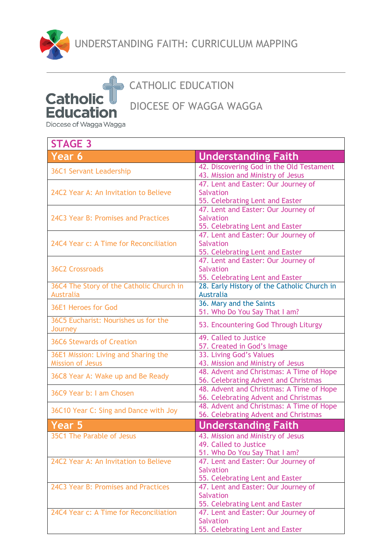

## CATHOLIC EDUCATION

DIOCESE OF WAGGA WAGGA

Diocese of Wagga Wagga

**Catholic** 

**Education** 

| <b>STAGE 3</b>                                                  |                                                                                             |
|-----------------------------------------------------------------|---------------------------------------------------------------------------------------------|
| Year 6                                                          | <b>Understanding Faith</b>                                                                  |
| <b>36C1 Servant Leadership</b>                                  | 42. Discovering God in the Old Testament<br>43. Mission and Ministry of Jesus               |
| 24C2 Year A: An Invitation to Believe                           | 47. Lent and Easter: Our Journey of<br><b>Salvation</b><br>55. Celebrating Lent and Easter  |
| 24C3 Year B: Promises and Practices                             | 47. Lent and Easter: Our Journey of<br><b>Salvation</b><br>55. Celebrating Lent and Easter  |
| 24C4 Year c: A Time for Reconciliation                          | 47. Lent and Easter: Our Journey of<br><b>Salvation</b><br>55. Celebrating Lent and Easter  |
| <b>36C2 Crossroads</b>                                          | 47. Lent and Easter: Our Journey of<br><b>Salvation</b><br>55. Celebrating Lent and Easter  |
| 36C4 The Story of the Catholic Church in<br><b>Australia</b>    | 28. Early History of the Catholic Church in<br><b>Australia</b>                             |
| 36E1 Heroes for God                                             | 36. Mary and the Saints<br>51. Who Do You Say That I am?                                    |
| 36C5 Eucharist: Nourishes us for the<br>Journey                 | 53. Encountering God Through Liturgy                                                        |
| <b>36C6 Stewards of Creation</b>                                | 49. Called to Justice<br>57. Created in God's Image                                         |
| 36E1 Mission: Living and Sharing the<br><b>Mission of Jesus</b> | 33. Living God's Values<br>43. Mission and Ministry of Jesus                                |
| 36C8 Year A: Wake up and Be Ready                               | 48. Advent and Christmas: A Time of Hope<br>56. Celebrating Advent and Christmas            |
| 36C9 Year b: I am Chosen                                        | 48. Advent and Christmas: A Time of Hope<br>56. Celebrating Advent and Christmas            |
| 36C10 Year C: Sing and Dance with Joy                           | 48. Advent and Christmas: A Time of Hope<br>56. Celebrating Advent and Christmas            |
| Year 5                                                          | <b>Understanding Faith</b>                                                                  |
| 35C1 The Parable of Jesus                                       | 43. Mission and Ministry of Jesus<br>49. Called to Justice<br>51. Who Do You Say That I am? |
| 24C2 Year A: An Invitation to Believe                           | 47. Lent and Easter: Our Journey of<br><b>Salvation</b><br>55. Celebrating Lent and Easter  |
| 24C3 Year B: Promises and Practices                             | 47. Lent and Easter: Our Journey of<br><b>Salvation</b><br>55. Celebrating Lent and Easter  |
| 24C4 Year c: A Time for Reconciliation                          | 47. Lent and Easter: Our Journey of<br><b>Salvation</b><br>55. Celebrating Lent and Easter  |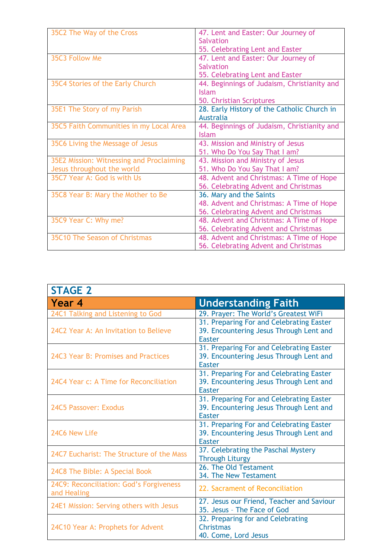| 35C2 The Way of the Cross                | 47. Lent and Easter: Our Journey of         |
|------------------------------------------|---------------------------------------------|
|                                          | Salvation                                   |
|                                          | 55. Celebrating Lent and Easter             |
| 35C3 Follow Me                           | 47. Lent and Easter: Our Journey of         |
|                                          | <b>Salvation</b>                            |
|                                          | 55. Celebrating Lent and Easter             |
| 35C4 Stories of the Early Church         | 44. Beginnings of Judaism, Christianity and |
|                                          | <b>Islam</b>                                |
|                                          | 50. Christian Scriptures                    |
| 35E1 The Story of my Parish              | 28. Early History of the Catholic Church in |
|                                          | <b>Australia</b>                            |
| 35C5 Faith Communities in my Local Area  | 44. Beginnings of Judaism, Christianity and |
|                                          | Islam                                       |
| 35C6 Living the Message of Jesus         | 43. Mission and Ministry of Jesus           |
|                                          | 51. Who Do You Say That I am?               |
| 35E2 Mission: Witnessing and Proclaiming | 43. Mission and Ministry of Jesus           |
| Jesus throughout the world               | 51. Who Do You Say That I am?               |
| 35C7 Year A: God is with Us              | 48. Advent and Christmas: A Time of Hope    |
|                                          | 56. Celebrating Advent and Christmas        |
| 35C8 Year B: Mary the Mother to Be       | 36. Mary and the Saints                     |
|                                          | 48. Advent and Christmas: A Time of Hope    |
|                                          | 56. Celebrating Advent and Christmas        |
| 35C9 Year C: Why me?                     | 48. Advent and Christmas: A Time of Hope    |
|                                          | 56. Celebrating Advent and Christmas        |
| 35C10 The Season of Christmas            | 48. Advent and Christmas: A Time of Hope    |
|                                          | 56. Celebrating Advent and Christmas        |

| <b>STAGE 2</b>                                         |                                                                                                      |
|--------------------------------------------------------|------------------------------------------------------------------------------------------------------|
| Year 4                                                 | <b>Understanding Faith</b>                                                                           |
| 24C1 Talking and Listening to God                      | 29. Prayer: The World's Greatest WiFi                                                                |
| 24C2 Year A: An Invitation to Believe                  | 31. Preparing For and Celebrating Easter<br>39. Encountering Jesus Through Lent and<br><b>Easter</b> |
| 24C3 Year B: Promises and Practices                    | 31. Preparing For and Celebrating Easter<br>39. Encountering Jesus Through Lent and<br><b>Easter</b> |
| 24C4 Year c: A Time for Reconciliation                 | 31. Preparing For and Celebrating Easter<br>39. Encountering Jesus Through Lent and<br><b>Easter</b> |
| 24C5 Passover: Exodus                                  | 31. Preparing For and Celebrating Easter<br>39. Encountering Jesus Through Lent and<br>Easter        |
| 24C6 New Life                                          | 31. Preparing For and Celebrating Easter<br>39. Encountering Jesus Through Lent and<br><b>Easter</b> |
| 24C7 Eucharist: The Structure of the Mass              | 37. Celebrating the Paschal Mystery<br><b>Through Liturgy</b>                                        |
| 24C8 The Bible: A Special Book                         | 26. The Old Testament<br>34. The New Testament                                                       |
| 24C9: Reconciliation: God's Forgiveness<br>and Healing | 22. Sacrament of Reconciliation                                                                      |
| 24E1 Mission: Serving others with Jesus                | 27. Jesus our Friend, Teacher and Saviour<br>35. Jesus - The Face of God                             |
| 24C10 Year A: Prophets for Advent                      | 32. Preparing for and Celebrating<br><b>Christmas</b><br>40. Come, Lord Jesus                        |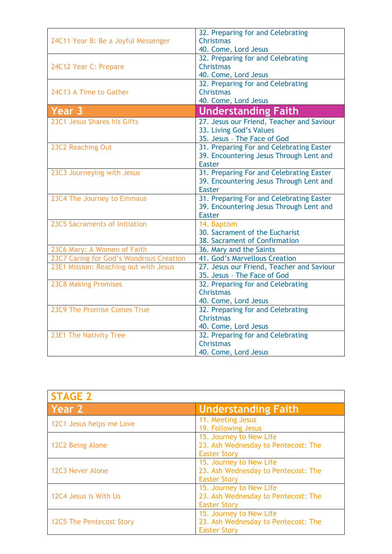|                                         | 32. Preparing for and Celebrating                               |
|-----------------------------------------|-----------------------------------------------------------------|
| 24C11 Year B: Be a Joyful Messenger     | <b>Christmas</b><br>40. Come, Lord Jesus                        |
|                                         | 32. Preparing for and Celebrating                               |
| 24C12 Year C: Prepare                   | <b>Christmas</b>                                                |
|                                         | 40. Come, Lord Jesus                                            |
| 24C13 A Time to Gather                  | 32. Preparing for and Celebrating<br><b>Christmas</b>           |
|                                         | 40. Come, Lord Jesus                                            |
| Year 3                                  | <b>Understanding Faith</b>                                      |
| 23C1 Jesus Shares his Gifts             | 27. Jesus our Friend, Teacher and Saviour                       |
|                                         | 33. Living God's Values                                         |
|                                         | 35. Jesus - The Face of God                                     |
| 23C2 Reaching Out                       | 31. Preparing For and Celebrating Easter                        |
|                                         | 39. Encountering Jesus Through Lent and                         |
| 23C3 Journeying with Jesus              | <b>Easter</b><br>31. Preparing For and Celebrating Easter       |
|                                         | 39. Encountering Jesus Through Lent and                         |
|                                         | <b>Easter</b>                                                   |
| 23C4 The Journey to Emmaus              | 31. Preparing For and Celebrating Easter                        |
|                                         | 39. Encountering Jesus Through Lent and                         |
|                                         | <b>Easter</b>                                                   |
| 23C5 Sacraments of Initiation           | 14. Baptism                                                     |
|                                         | 30. Sacrament of the Eucharist<br>38. Sacrament of Confirmation |
| 23C6 Mary: A Women of Faith             | 36. Mary and the Saints                                         |
| 23C7 Caring for God's Wondrous Creation | 41. God's Marvellous Creation                                   |
| 23E1 Mission: Reaching out with Jesus   | 27. Jesus our Friend, Teacher and Saviour                       |
|                                         | 35. Jesus - The Face of God                                     |
| <b>23C8 Making Promises</b>             | 32. Preparing for and Celebrating                               |
|                                         | <b>Christmas</b>                                                |
| 23C9 The Promise Comes True             | 40. Come, Lord Jesus                                            |
|                                         | 32. Preparing for and Celebrating<br><b>Christmas</b>           |
|                                         | 40. Come, Lord Jesus                                            |
| 23E1 The Nativity Tree                  | 32. Preparing for and Celebrating                               |
|                                         | <b>Christmas</b>                                                |
|                                         | 40. Come, Lord Jesus                                            |

| <b>STAGE 2</b>           |                                                                                       |
|--------------------------|---------------------------------------------------------------------------------------|
| Year 2                   | <b>Understanding Faith</b>                                                            |
| 12C1 Jesus helps me Love | 11. Meeting Jesus<br>19. Following Jesus                                              |
| 12C2 Being Alone         | 15. Journey to New Life<br>23. Ash Wednesday to Pentecost: The<br><b>Easter Story</b> |
| 12C3 Never Alone         | 15. Journey to New Life<br>23. Ash Wednesday to Pentecost: The<br><b>Easter Story</b> |
| 12C4 Jesus is With Us    | 15. Journey to New Life<br>23. Ash Wednesday to Pentecost: The<br><b>Easter Story</b> |
| 12C5 The Pentecost Story | 15. Journey to New Life<br>23. Ash Wednesday to Pentecost: The<br><b>Easter Story</b> |